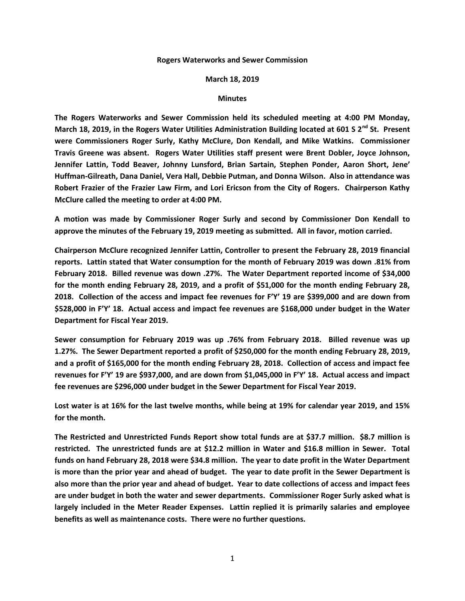## **Rogers Waterworks and Sewer Commission**

## **March 18, 2019**

## **Minutes**

**The Rogers Waterworks and Sewer Commission held its scheduled meeting at 4:00 PM Monday, March 18, 2019, in the Rogers Water Utilities Administration Building located at 601 S 2nd St. Present were Commissioners Roger Surly, Kathy McClure, Don Kendall, and Mike Watkins. Commissioner Travis Greene was absent. Rogers Water Utilities staff present were Brent Dobler, Joyce Johnson, Jennifer Lattin, Todd Beaver, Johnny Lunsford, Brian Sartain, Stephen Ponder, Aaron Short, Jene' Huffman-Gilreath, Dana Daniel, Vera Hall, Debbie Putman, and Donna Wilson. Also in attendance was Robert Frazier of the Frazier Law Firm, and Lori Ericson from the City of Rogers. Chairperson Kathy McClure called the meeting to order at 4:00 PM.**

**A motion was made by Commissioner Roger Surly and second by Commissioner Don Kendall to approve the minutes of the February 19, 2019 meeting as submitted. All in favor, motion carried.**

**Chairperson McClure recognized Jennifer Lattin, Controller to present the February 28, 2019 financial reports. Lattin stated that Water consumption for the month of February 2019 was down .81% from February 2018. Billed revenue was down .27%. The Water Department reported income of \$34,000 for the month ending February 28, 2019, and a profit of \$51,000 for the month ending February 28, 2018. Collection of the access and impact fee revenues for F'Y' 19 are \$399,000 and are down from \$528,000 in F'Y' 18. Actual access and impact fee revenues are \$168,000 under budget in the Water Department for Fiscal Year 2019.**

**Sewer consumption for February 2019 was up .76% from February 2018. Billed revenue was up 1.27%. The Sewer Department reported a profit of \$250,000 for the month ending February 28, 2019, and a profit of \$165,000 for the month ending February 28, 2018. Collection of access and impact fee revenues for F'Y' 19 are \$937,000, and are down from \$1,045,000 in F'Y' 18. Actual access and impact fee revenues are \$296,000 under budget in the Sewer Department for Fiscal Year 2019.**

**Lost water is at 16% for the last twelve months, while being at 19% for calendar year 2019, and 15% for the month.**

**The Restricted and Unrestricted Funds Report show total funds are at \$37.7 million. \$8.7 million is restricted. The unrestricted funds are at \$12.2 million in Water and \$16.8 million in Sewer. Total funds on hand February 28, 2018 were \$34.8 million. The year to date profit in the Water Department is more than the prior year and ahead of budget. The year to date profit in the Sewer Department is also more than the prior year and ahead of budget. Year to date collections of access and impact fees are under budget in both the water and sewer departments. Commissioner Roger Surly asked what is largely included in the Meter Reader Expenses. Lattin replied it is primarily salaries and employee benefits as well as maintenance costs. There were no further questions.**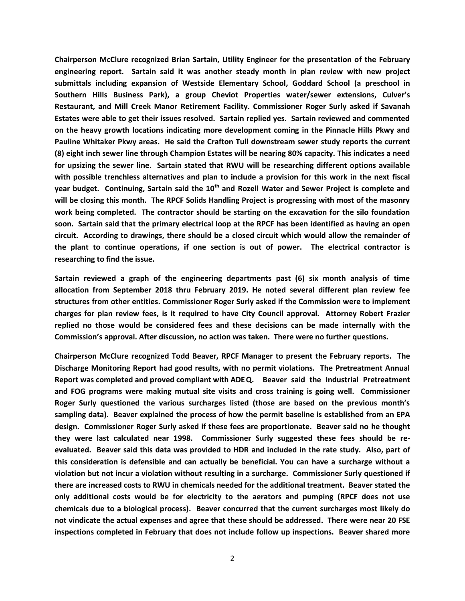**Chairperson McClure recognized Brian Sartain, Utility Engineer for the presentation of the February engineering report. Sartain said it was another steady month in plan review with new project submittals including expansion of Westside Elementary School, Goddard School (a preschool in Southern Hills Business Park), a group Cheviot Properties water/sewer extensions, Culver's Restaurant, and Mill Creek Manor Retirement Facility. Commissioner Roger Surly asked if Savanah Estates were able to get their issues resolved. Sartain replied yes. Sartain reviewed and commented on the heavy growth locations indicating more development coming in the Pinnacle Hills Pkwy and Pauline Whitaker Pkwy areas. He said the Crafton Tull downstream sewer study reports the current (8) eight inch sewer line through Champion Estates will be nearing 80% capacity. This indicates a need for upsizing the sewer line. Sartain stated that RWU will be researching different options available with possible trenchless alternatives and plan to include a provision for this work in the next fiscal year budget. Continuing, Sartain said the 10th and Rozell Water and Sewer Project is complete and will be closing this month. The RPCF Solids Handling Project is progressing with most of the masonry work being completed. The contractor should be starting on the excavation for the silo foundation soon. Sartain said that the primary electrical loop at the RPCF has been identified as having an open circuit. According to drawings, there should be a closed circuit which would allow the remainder of the plant to continue operations, if one section is out of power. The electrical contractor is researching to find the issue.**

**Sartain reviewed a graph of the engineering departments past (6) six month analysis of time allocation from September 2018 thru February 2019. He noted several different plan review fee structures from other entities. Commissioner Roger Surly asked if the Commission were to implement charges for plan review fees, is it required to have City Council approval. Attorney Robert Frazier replied no those would be considered fees and these decisions can be made internally with the Commission's approval. After discussion, no action was taken. There were no further questions.**

**Chairperson McClure recognized Todd Beaver, RPCF Manager to present the February reports. The Discharge Monitoring Report had good results, with no permit violations. The Pretreatment Annual Report was completed and proved compliant with ADEQ. Beaver said the Industrial Pretreatment and FOG programs were making mutual site visits and cross training is going well. Commissioner Roger Surly questioned the various surcharges listed (those are based on the previous month's sampling data). Beaver explained the process of how the permit baseline is established from an EPA design. Commissioner Roger Surly asked if these fees are proportionate. Beaver said no he thought they were last calculated near 1998. Commissioner Surly suggested these fees should be reevaluated. Beaver said this data was provided to HDR and included in the rate study. Also, part of this consideration is defensible and can actually be beneficial. You can have a surcharge without a violation but not incur a violation without resulting in a surcharge. Commissioner Surly questioned if there are increased costs to RWU in chemicals needed for the additional treatment. Beaver stated the only additional costs would be for electricity to the aerators and pumping (RPCF does not use chemicals due to a biological process). Beaver concurred that the current surcharges most likely do not vindicate the actual expenses and agree that these should be addressed. There were near 20 FSE inspections completed in February that does not include follow up inspections. Beaver shared more**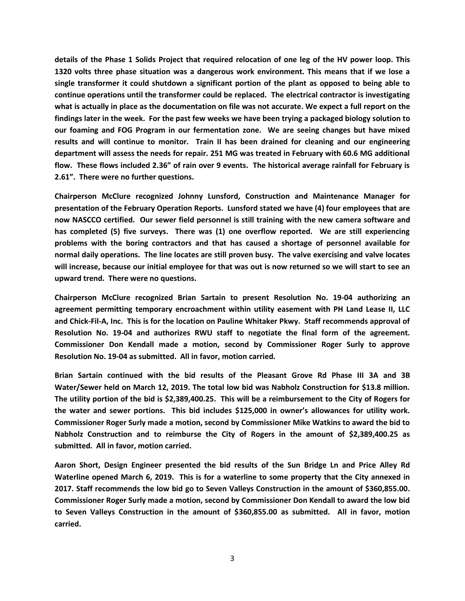**details of the Phase 1 Solids Project that required relocation of one leg of the HV power loop. This 1320 volts three phase situation was a dangerous work environment. This means that if we lose a single transformer it could shutdown a significant portion of the plant as opposed to being able to continue operations until the transformer could be replaced. The electrical contractor is investigating what is actually in place as the documentation on file was not accurate. We expect a full report on the findings later in the week. For the past few weeks we have been trying a packaged biology solution to our foaming and FOG Program in our fermentation zone. We are seeing changes but have mixed results and will continue to monitor. Train II has been drained for cleaning and our engineering department will assess the needs for repair. 251 MG was treated in February with 60.6 MG additional flow. These flows included 2.36" of rain over 9 events. The historical average rainfall for February is 2.61". There were no further questions.**

**Chairperson McClure recognized Johnny Lunsford, Construction and Maintenance Manager for presentation of the February Operation Reports. Lunsford stated we have (4) four employees that are now NASCCO certified. Our sewer field personnel is still training with the new camera software and has completed (5) five surveys. There was (1) one overflow reported. We are still experiencing problems with the boring contractors and that has caused a shortage of personnel available for normal daily operations. The line locates are still proven busy. The valve exercising and valve locates will increase, because our initial employee for that was out is now returned so we will start to see an upward trend. There were no questions.**

**Chairperson McClure recognized Brian Sartain to present Resolution No. 19-04 authorizing an agreement permitting temporary encroachment within utility easement with PH Land Lease II, LLC and Chick-Fil-A, Inc. This is for the location on Pauline Whitaker Pkwy. Staff recommends approval of Resolution No. 19-04 and authorizes RWU staff to negotiate the final form of the agreement. Commissioner Don Kendall made a motion, second by Commissioner Roger Surly to approve Resolution No. 19-04 as submitted. All in favor, motion carried.** 

**Brian Sartain continued with the bid results of the Pleasant Grove Rd Phase III 3A and 3B Water/Sewer held on March 12, 2019. The total low bid was Nabholz Construction for \$13.8 million. The utility portion of the bid is \$2,389,400.25. This will be a reimbursement to the City of Rogers for the water and sewer portions. This bid includes \$125,000 in owner's allowances for utility work. Commissioner Roger Surly made a motion, second by Commissioner Mike Watkins to award the bid to Nabholz Construction and to reimburse the City of Rogers in the amount of \$2,389,400.25 as submitted. All in favor, motion carried.**

**Aaron Short, Design Engineer presented the bid results of the Sun Bridge Ln and Price Alley Rd Waterline opened March 6, 2019. This is for a waterline to some property that the City annexed in 2017. Staff recommends the low bid go to Seven Valleys Construction in the amount of \$360,855.00. Commissioner Roger Surly made a motion, second by Commissioner Don Kendall to award the low bid to Seven Valleys Construction in the amount of \$360,855.00 as submitted. All in favor, motion carried.**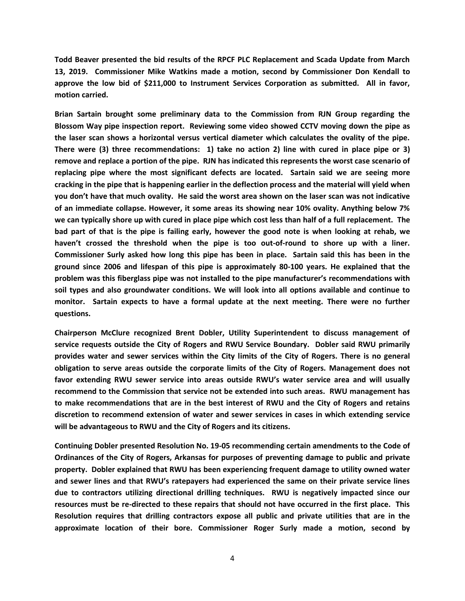**Todd Beaver presented the bid results of the RPCF PLC Replacement and Scada Update from March 13, 2019. Commissioner Mike Watkins made a motion, second by Commissioner Don Kendall to approve the low bid of \$211,000 to Instrument Services Corporation as submitted. All in favor, motion carried.**

**Brian Sartain brought some preliminary data to the Commission from RJN Group regarding the Blossom Way pipe inspection report. Reviewing some video showed CCTV moving down the pipe as the laser scan shows a horizontal versus vertical diameter which calculates the ovality of the pipe. There were (3) three recommendations: 1) take no action 2) line with cured in place pipe or 3) remove and replace a portion of the pipe. RJN has indicated this represents the worst case scenario of replacing pipe where the most significant defects are located. Sartain said we are seeing more cracking in the pipe that is happening earlier in the deflection process and the material will yield when you don't have that much ovality. He said the worst area shown on the laser scan was not indicative of an immediate collapse. However, it some areas its showing near 10% ovality. Anything below 7% we can typically shore up with cured in place pipe which cost less than half of a full replacement. The bad part of that is the pipe is failing early, however the good note is when looking at rehab, we haven't crossed the threshold when the pipe is too out-of-round to shore up with a liner. Commissioner Surly asked how long this pipe has been in place. Sartain said this has been in the ground since 2006 and lifespan of this pipe is approximately 80-100 years. He explained that the problem was this fiberglass pipe was not installed to the pipe manufacturer's recommendations with soil types and also groundwater conditions. We will look into all options available and continue to monitor. Sartain expects to have a formal update at the next meeting. There were no further questions.**

**Chairperson McClure recognized Brent Dobler, Utility Superintendent to discuss management of service requests outside the City of Rogers and RWU Service Boundary. Dobler said RWU primarily provides water and sewer services within the City limits of the City of Rogers. There is no general obligation to serve areas outside the corporate limits of the City of Rogers. Management does not favor extending RWU sewer service into areas outside RWU's water service area and will usually recommend to the Commission that service not be extended into such areas. RWU management has to make recommendations that are in the best interest of RWU and the City of Rogers and retains discretion to recommend extension of water and sewer services in cases in which extending service will be advantageous to RWU and the City of Rogers and its citizens.**

**Continuing Dobler presented Resolution No. 19-05 recommending certain amendments to the Code of Ordinances of the City of Rogers, Arkansas for purposes of preventing damage to public and private property. Dobler explained that RWU has been experiencing frequent damage to utility owned water and sewer lines and that RWU's ratepayers had experienced the same on their private service lines due to contractors utilizing directional drilling techniques. RWU is negatively impacted since our resources must be re-directed to these repairs that should not have occurred in the first place. This Resolution requires that drilling contractors expose all public and private utilities that are in the approximate location of their bore. Commissioner Roger Surly made a motion, second by**